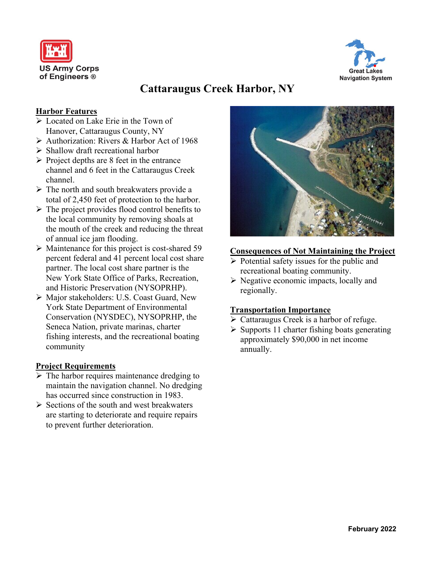



# **Cattaraugus Creek Harbor, NY**

### **Harbor Features**

- ➢ Located on Lake Erie in the Town of Hanover, Cattaraugus County, NY
- ➢ Authorization: Rivers & Harbor Act of 1968
- ➢ Shallow draft recreational harbor
- $\triangleright$  Project depths are 8 feet in the entrance channel and 6 feet in the Cattaraugus Creek channel.
- ➢ The north and south breakwaters provide a total of 2,450 feet of protection to the harbor.
- $\triangleright$  The project provides flood control benefits to the local community by removing shoals at the mouth of the creek and reducing the threat of annual ice jam flooding.
- ➢ Maintenance for this project is cost-shared 59 percent federal and 41 percent local cost share partner. The local cost share partner is the New York State Office of Parks, Recreation, and Historic Preservation (NYSOPRHP).
- ➢ Major stakeholders: U.S. Coast Guard, New York State Department of Environmental Conservation (NYSDEC), NYSOPRHP, the Seneca Nation, private marinas, charter fishing interests, and the recreational boating community

#### **Project Requirements**

- $\triangleright$  The harbor requires maintenance dredging to maintain the navigation channel. No dredging has occurred since construction in 1983.
- $\triangleright$  Sections of the south and west breakwaters are starting to deteriorate and require repairs to prevent further deterioration.



#### **Consequences of Not Maintaining the Project**

- $\triangleright$  Potential safety issues for the public and recreational boating community.
- ➢ Negative economic impacts, locally and regionally.

#### **Transportation Importance**

- ➢ Cattaraugus Creek is a harbor of refuge.
- ➢ Supports 11 charter fishing boats generating approximately \$90,000 in net income annually.